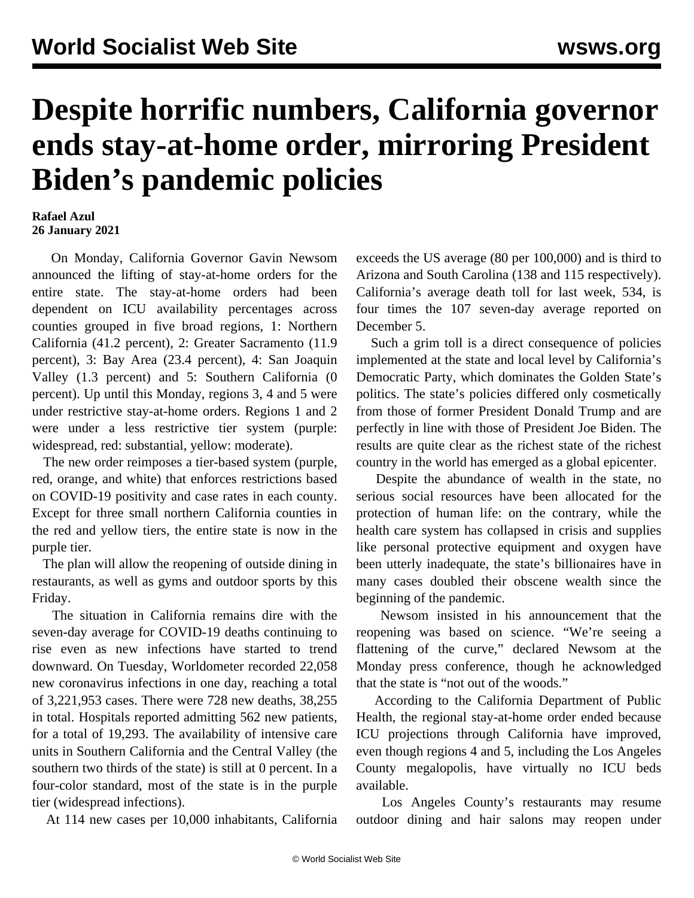## **Despite horrific numbers, California governor ends stay-at-home order, mirroring President Biden's pandemic policies**

## **Rafael Azul 26 January 2021**

 On Monday, California Governor Gavin Newsom announced the lifting of stay-at-home orders for the entire state. The stay-at-home orders had been dependent on ICU availability percentages across counties grouped in five broad regions, 1: Northern California (41.2 percent), 2: Greater Sacramento (11.9 percent), 3: Bay Area (23.4 percent), 4: San Joaquin Valley (1.3 percent) and 5: Southern California (0 percent). Up until this Monday, regions 3, 4 and 5 were under restrictive stay-at-home orders. Regions 1 and 2 were under a less restrictive tier system (purple: widespread, red: substantial, yellow: moderate).

 The new order reimposes a tier-based system (purple, red, orange, and white) that enforces restrictions based on COVID-19 positivity and case rates in each county. Except for three small northern California counties in the red and yellow tiers, the entire state is now in the purple tier.

 The plan will allow the reopening of outside dining in restaurants, as well as gyms and outdoor sports by this Friday.

 The situation in California remains dire with the seven-day average for COVID-19 deaths continuing to rise even as new infections have started to trend downward. On Tuesday, Worldometer recorded 22,058 new coronavirus infections in one day, reaching a total of 3,221,953 cases. There were 728 new deaths, 38,255 in total. Hospitals reported admitting 562 new patients, for a total of 19,293. The availability of intensive care units in Southern California and the Central Valley (the southern two thirds of the state) is still at 0 percent. In a four-color standard, most of the state is in the purple tier (widespread infections).

At 114 new cases per 10,000 inhabitants, California

exceeds the US average (80 per 100,000) and is third to Arizona and South Carolina (138 and 115 respectively). California's average death toll for last week, 534, is four times the 107 seven-day average reported on December 5.

 Such a grim toll is a direct consequence of policies implemented at the state and local level by California's Democratic Party, which dominates the Golden State's politics. The state's policies differed only cosmetically from those of former President Donald Trump and are perfectly in line with those of President Joe Biden. The results are quite clear as the richest state of the richest country in the world has emerged as a global epicenter.

 Despite the abundance of wealth in the state, no serious social resources have been allocated for the protection of human life: on the contrary, while the health care system has collapsed in crisis and supplies like personal protective equipment and oxygen have been utterly inadequate, the state's billionaires have in many cases doubled their obscene wealth since the beginning of the pandemic.

 Newsom insisted in his announcement that the reopening was based on science. "We're seeing a flattening of the curve," declared Newsom at the Monday press conference, though he acknowledged that the state is "not out of the woods."

 According to the California Department of Public Health, the regional stay-at-home order ended because ICU projections through California have improved, even though regions 4 and 5, including the Los Angeles County megalopolis, have virtually no ICU beds available.

 Los Angeles County's restaurants may resume outdoor dining and hair salons may reopen under